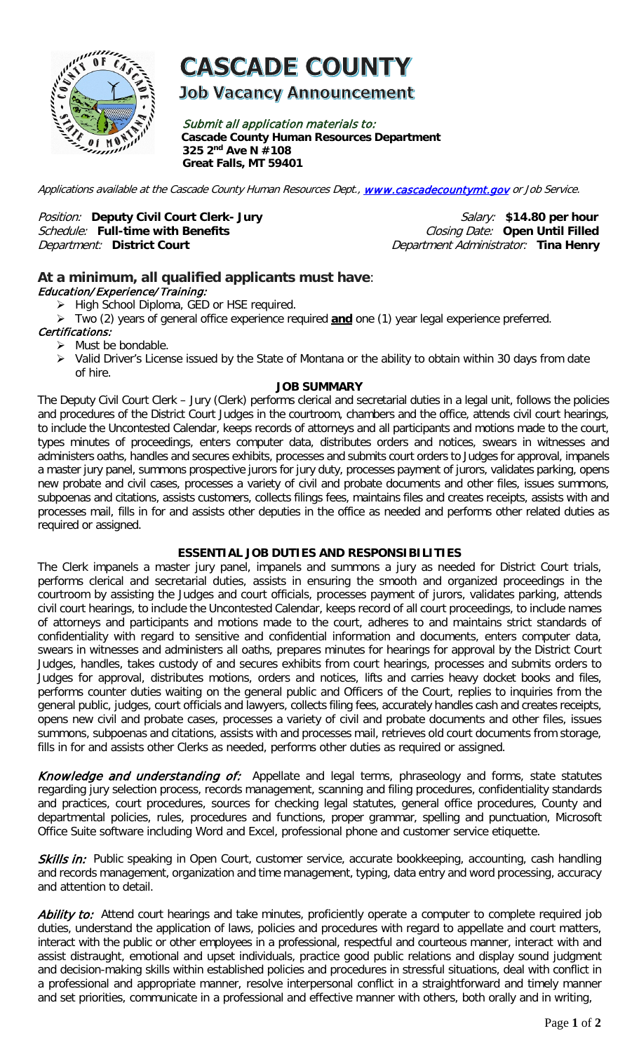

# **CASCADE COUNTY**

**Job Vacancy Announcement** 

Submit all application materials to: **Cascade County Human Resources Department 325 2nd Ave N #108 Great Falls, MT 59401** 

Applications available at the Cascade County Human Resources Dept., [www.cascadecountymt.gov](http://www.cascadecountymt.gov/) or Job Service.

Position: Deputy Civil Court Clerk- Jury **Commence in the Salary: \$14.80** per hour **Schedule: Full-time with Benefits** Schedule: Full-time with Benefits<br>Department: District Court

Department Administrator: Tina Henry

## **At a minimum, all qualified applicants must have**: Education/ Experience/ Training:

- > High School Diploma, GED or HSE required.
- Two (2) years of general office experience required **and** one (1) year legal experience preferred.

## Certifications:

- $\triangleright$  Must be bondable.
- > Valid Driver's License issued by the State of Montana or the ability to obtain within 30 days from date of hire.

#### **JOB SUMMARY**

The Deputy Civil Court Clerk – Jury (Clerk) performs clerical and secretarial duties in a legal unit, follows the policies and procedures of the District Court Judges in the courtroom, chambers and the office, attends civil court hearings, to include the Uncontested Calendar, keeps records of attorneys and all participants and motions made to the court, types minutes of proceedings, enters computer data, distributes orders and notices, swears in witnesses and administers oaths, handles and secures exhibits, processes and submits court orders to Judges for approval, impanels a master jury panel, summons prospective jurors for jury duty, processes payment of jurors, validates parking, opens new probate and civil cases, processes a variety of civil and probate documents and other files, issues summons, subpoenas and citations, assists customers, collects filings fees, maintains files and creates receipts, assists with and processes mail, fills in for and assists other deputies in the office as needed and performs other related duties as required or assigned.

## **ESSENTIAL JOB DUTIES AND RESPONSIBILITIES**

The Clerk impanels a master jury panel, impanels and summons a jury as needed for District Court trials, performs clerical and secretarial duties, assists in ensuring the smooth and organized proceedings in the courtroom by assisting the Judges and court officials, processes payment of jurors, validates parking, attends civil court hearings, to include the Uncontested Calendar, keeps record of all court proceedings, to include names of attorneys and participants and motions made to the court, adheres to and maintains strict standards of confidentiality with regard to sensitive and confidential information and documents, enters computer data, swears in witnesses and administers all oaths, prepares minutes for hearings for approval by the District Court Judges, handles, takes custody of and secures exhibits from court hearings, processes and submits orders to Judges for approval, distributes motions, orders and notices, lifts and carries heavy docket books and files, performs counter duties waiting on the general public and Officers of the Court, replies to inquiries from the general public, judges, court officials and lawyers, collects filing fees, accurately handles cash and creates receipts, opens new civil and probate cases, processes a variety of civil and probate documents and other files, issues summons, subpoenas and citations, assists with and processes mail, retrieves old court documents from storage, fills in for and assists other Clerks as needed, performs other duties as required or assigned.

Knowledge and understanding of:Appellate and legal terms, phraseology and forms, state statutes regarding jury selection process, records management, scanning and filing procedures, confidentiality standards and practices, court procedures, sources for checking legal statutes, general office procedures, County and departmental policies, rules, procedures and functions, proper grammar, spelling and punctuation, Microsoft Office Suite software including Word and Excel, professional phone and customer service etiquette.

Skills in: Public speaking in Open Court, customer service, accurate bookkeeping, accounting, cash handling and records management, organization and time management, typing, data entry and word processing, accuracy and attention to detail.

Ability to: Attend court hearings and take minutes, proficiently operate a computer to complete required job duties, understand the application of laws, policies and procedures with regard to appellate and court matters, interact with the public or other employees in a professional, respectful and courteous manner, interact with and assist distraught, emotional and upset individuals, practice good public relations and display sound judgment and decision-making skills within established policies and procedures in stressful situations, deal with conflict in a professional and appropriate manner, resolve interpersonal conflict in a straightforward and timely manner and set priorities, communicate in a professional and effective manner with others, both orally and in writing,